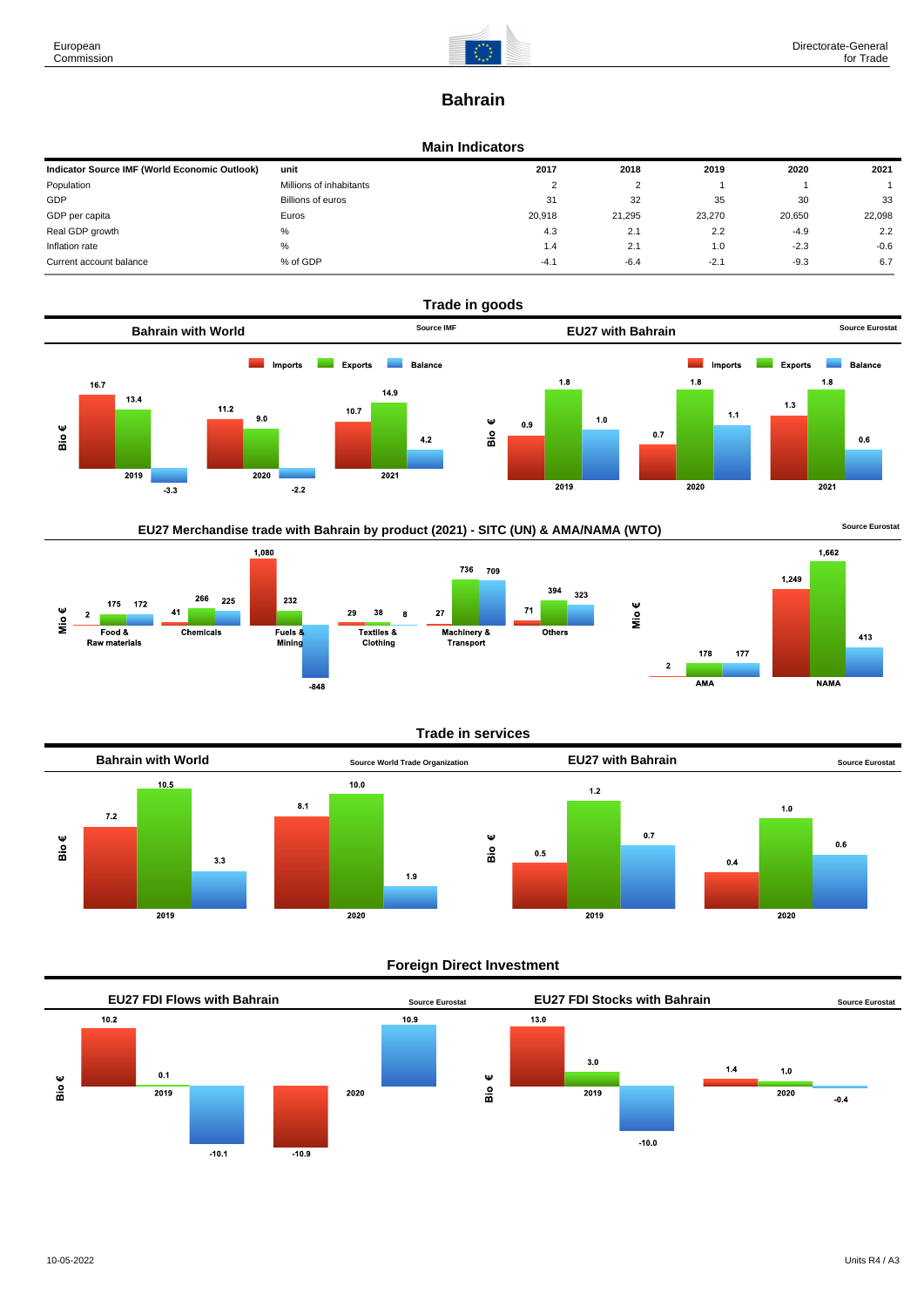

# **Bahrain**

### **Main Indicators**

| Indicator Source IMF (World Economic Outlook) | unit                    | 2017   | 2018   | 2019   | 2020   | 2021   |
|-----------------------------------------------|-------------------------|--------|--------|--------|--------|--------|
| Population                                    | Millions of inhabitants | ◠      | ົ      |        |        |        |
| GDP                                           | Billions of euros       | 31     | 32     | 35     | 30     | 33     |
| GDP per capita                                | Euros                   | 20.918 | 21.295 | 23,270 | 20.650 | 22,098 |
| Real GDP growth                               | %                       | 4.3    | 2.1    | 2.2    | $-4.9$ | 2.2    |
| Inflation rate                                | %                       | 1.4    | 2.1    | 1.0    | $-2.3$ | $-0.6$ |
| Current account balance                       | % of GDP                | $-4.1$ | $-6.4$ | $-2.7$ | $-9.3$ | 6.7    |



## EU27 Merchandise trade with Bahrain by product (2021) - SITC (UN) & AMA/NAMA (WTO) **Source Eurostat**





## **Trade in services**



## **Foreign Direct Investment**